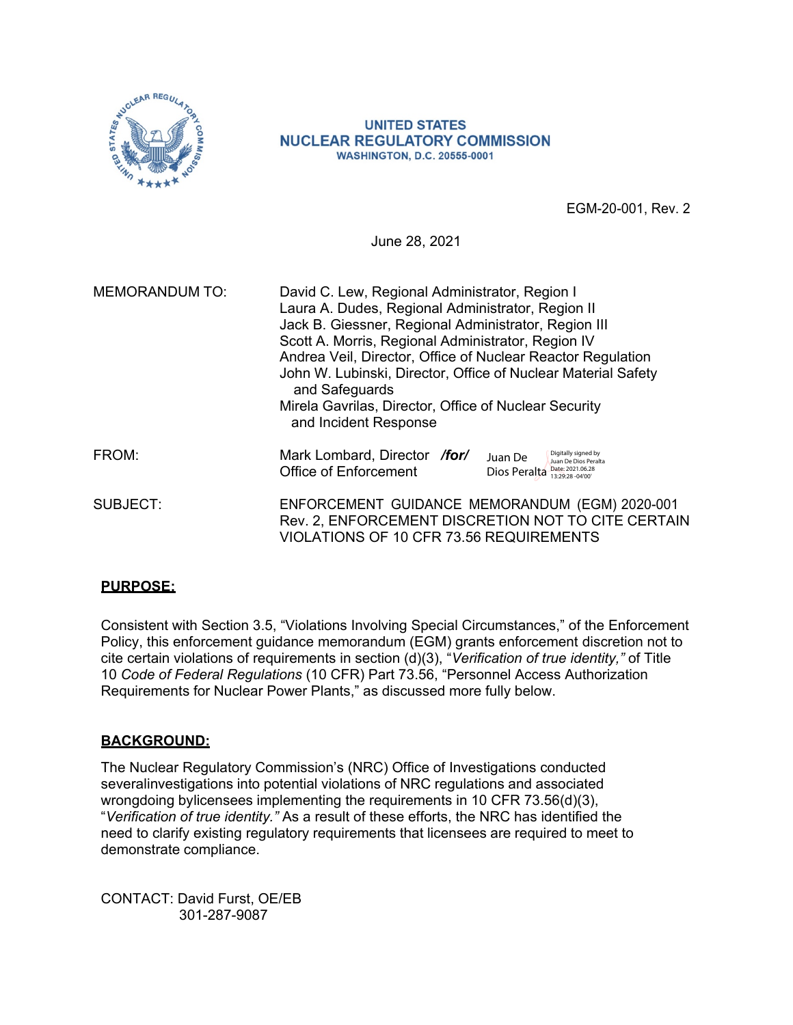

#### **UNITED STATES NUCLEAR REGULATORY COMMISSION WASHINGTON, D.C. 20555-0001**

EGM-20-001, Rev. 2

June 28, 2021

| <b>MEMORANDUM TO:</b> | David C. Lew, Regional Administrator, Region I<br>Laura A. Dudes, Regional Administrator, Region II<br>Jack B. Giessner, Regional Administrator, Region III<br>Scott A. Morris, Regional Administrator, Region IV<br>Andrea Veil, Director, Office of Nuclear Reactor Regulation<br>John W. Lubinski, Director, Office of Nuclear Material Safety<br>and Safeguards<br>Mirela Gavrilas, Director, Office of Nuclear Security<br>and Incident Response |  |  |
|-----------------------|-------------------------------------------------------------------------------------------------------------------------------------------------------------------------------------------------------------------------------------------------------------------------------------------------------------------------------------------------------------------------------------------------------------------------------------------------------|--|--|
| FROM:                 | Mark Lombard, Director /for/<br>Digitally signed by<br>Juan De<br>Juan De Dios Peralta<br><b>Office of Enforcement</b><br>Date: 2021.06.28<br>Dios Peralta<br>13:29:28 - 04'00"                                                                                                                                                                                                                                                                       |  |  |
| SUBJECT:              | ENFORCEMENT GUIDANCE MEMORANDUM (EGM) 2020-001<br>Rev. 2, ENFORCEMENT DISCRETION NOT TO CITE CERTAIN<br>VIOLATIONS OF 10 CFR 73.56 REQUIREMENTS                                                                                                                                                                                                                                                                                                       |  |  |

## **PURPOSE:**

Consistent with Section 3.5, "Violations Involving Special Circumstances," of the Enforcement Policy, this enforcement guidance memorandum (EGM) grants enforcement discretion not to cite certain violations of requirements in section (d)(3), "*Verification of true identity,"* of Title 10 *Code of Federal Regulations* (10 CFR) Part 73.56, "Personnel Access Authorization Requirements for Nuclear Power Plants," as discussed more fully below.

## **BACKGROUND:**

The Nuclear Regulatory Commission's (NRC) Office of Investigations conducted severalinvestigations into potential violations of NRC regulations and associated wrongdoing bylicensees implementing the requirements in 10 CFR 73.56(d)(3), "*Verification of true identity."* As a result of these efforts, the NRC has identified the need to clarify existing regulatory requirements that licensees are required to meet to demonstrate compliance.

CONTACT: David Furst, OE/EB 301-287-9087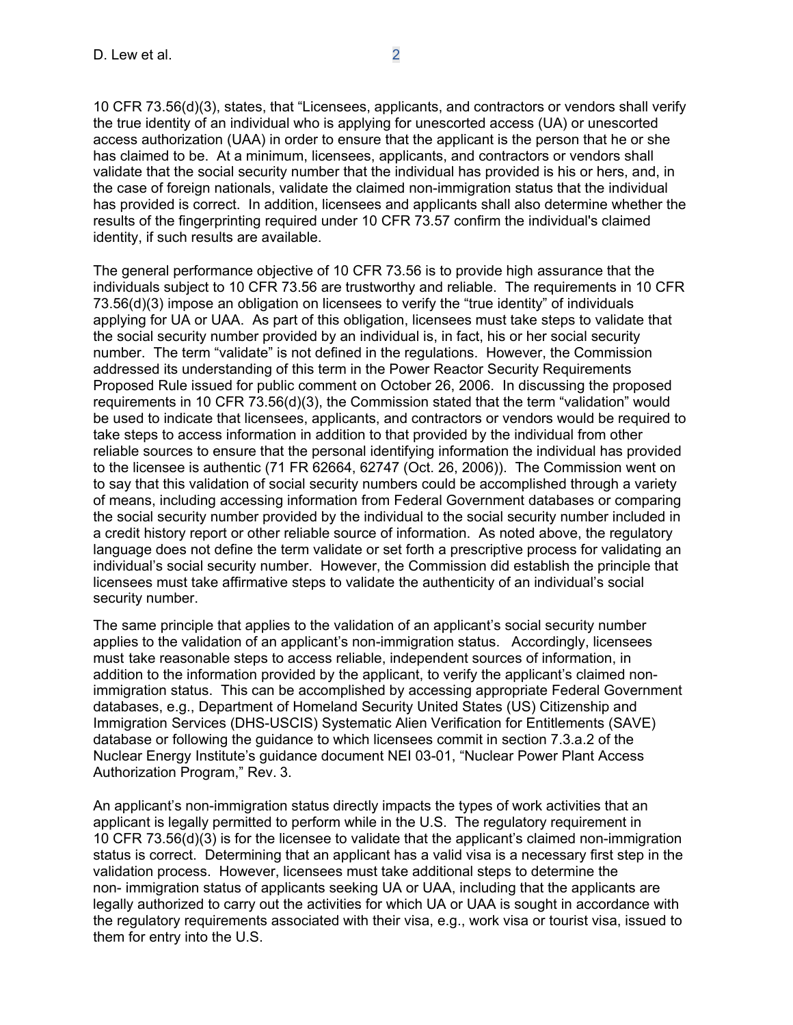10 CFR 73.56(d)(3), states, that "Licensees, applicants, and contractors or vendors shall verify the true identity of an individual who is applying for unescorted access (UA) or unescorted access authorization (UAA) in order to ensure that the applicant is the person that he or she has claimed to be. At a minimum, licensees, applicants, and contractors or vendors shall validate that the social security number that the individual has provided is his or hers, and, in the case of foreign nationals, validate the claimed non-immigration status that the individual has provided is correct. In addition, licensees and applicants shall also determine whether the results of the fingerprinting required under 10 CFR 73.57 confirm the individual's claimed identity, if such results are available.

The general performance objective of 10 CFR 73.56 is to provide high assurance that the individuals subject to 10 CFR 73.56 are trustworthy and reliable. The requirements in 10 CFR 73.56(d)(3) impose an obligation on licensees to verify the "true identity" of individuals applying for UA or UAA. As part of this obligation, licensees must take steps to validate that the social security number provided by an individual is, in fact, his or her social security number. The term "validate" is not defined in the regulations. However, the Commission addressed its understanding of this term in the Power Reactor Security Requirements Proposed Rule issued for public comment on October 26, 2006. In discussing the proposed requirements in 10 CFR 73.56(d)(3), the Commission stated that the term "validation" would be used to indicate that licensees, applicants, and contractors or vendors would be required to take steps to access information in addition to that provided by the individual from other reliable sources to ensure that the personal identifying information the individual has provided to the licensee is authentic (71 FR 62664, 62747 (Oct. 26, 2006)). The Commission went on to say that this validation of social security numbers could be accomplished through a variety of means, including accessing information from Federal Government databases or comparing the social security number provided by the individual to the social security number included in a credit history report or other reliable source of information. As noted above, the regulatory language does not define the term validate or set forth a prescriptive process for validating an individual's social security number. However, the Commission did establish the principle that licensees must take affirmative steps to validate the authenticity of an individual's social security number.

The same principle that applies to the validation of an applicant's social security number applies to the validation of an applicant's non-immigration status. Accordingly, licensees must take reasonable steps to access reliable, independent sources of information, in addition to the information provided by the applicant, to verify the applicant's claimed nonimmigration status. This can be accomplished by accessing appropriate Federal Government databases, e.g., Department of Homeland Security United States (US) Citizenship and Immigration Services (DHS-USCIS) Systematic Alien Verification for Entitlements (SAVE) database or following the guidance to which licensees commit in section 7.3.a.2 of the Nuclear Energy Institute's guidance document NEI 03-01, "Nuclear Power Plant Access Authorization Program," Rev. 3.

An applicant's non-immigration status directly impacts the types of work activities that an applicant is legally permitted to perform while in the U.S. The regulatory requirement in 10 CFR 73.56(d)(3) is for the licensee to validate that the applicant's claimed non-immigration status is correct. Determining that an applicant has a valid visa is a necessary first step in the validation process. However, licensees must take additional steps to determine the non- immigration status of applicants seeking UA or UAA, including that the applicants are legally authorized to carry out the activities for which UA or UAA is sought in accordance with the regulatory requirements associated with their visa, e.g., work visa or tourist visa, issued to them for entry into the U.S.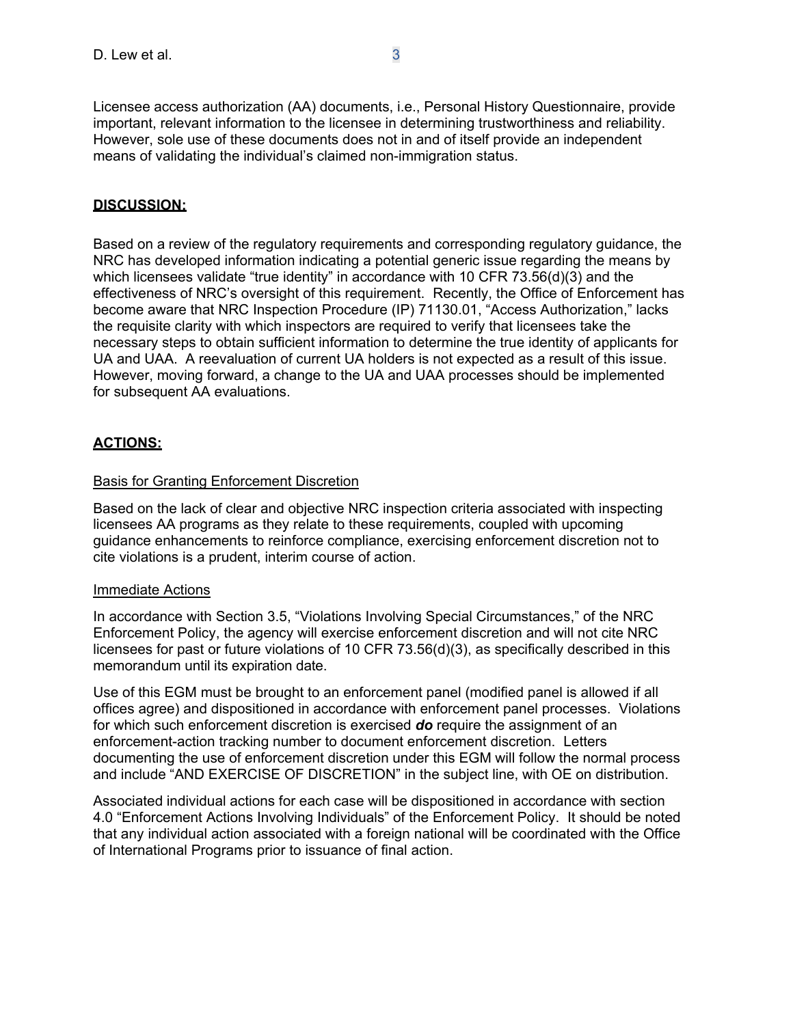Licensee access authorization (AA) documents, i.e., Personal History Questionnaire, provide important, relevant information to the licensee in determining trustworthiness and reliability. However, sole use of these documents does not in and of itself provide an independent means of validating the individual's claimed non-immigration status.

## **DISCUSSION:**

Based on a review of the regulatory requirements and corresponding regulatory guidance, the NRC has developed information indicating a potential generic issue regarding the means by which licensees validate "true identity" in accordance with 10 CFR 73.56(d)(3) and the effectiveness of NRC's oversight of this requirement. Recently, the Office of Enforcement has become aware that NRC Inspection Procedure (IP) 71130.01, "Access Authorization," lacks the requisite clarity with which inspectors are required to verify that licensees take the necessary steps to obtain sufficient information to determine the true identity of applicants for UA and UAA. A reevaluation of current UA holders is not expected as a result of this issue. However, moving forward, a change to the UA and UAA processes should be implemented for subsequent AA evaluations.

## **ACTIONS:**

### Basis for Granting Enforcement Discretion

Based on the lack of clear and objective NRC inspection criteria associated with inspecting licensees AA programs as they relate to these requirements, coupled with upcoming guidance enhancements to reinforce compliance, exercising enforcement discretion not to cite violations is a prudent, interim course of action.

#### Immediate Actions

In accordance with Section 3.5, "Violations Involving Special Circumstances," of the NRC Enforcement Policy, the agency will exercise enforcement discretion and will not cite NRC licensees for past or future violations of 10 CFR 73.56(d)(3), as specifically described in this memorandum until its expiration date.

Use of this EGM must be brought to an enforcement panel (modified panel is allowed if all offices agree) and dispositioned in accordance with enforcement panel processes. Violations for which such enforcement discretion is exercised *do* require the assignment of an enforcement-action tracking number to document enforcement discretion. Letters documenting the use of enforcement discretion under this EGM will follow the normal process and include "AND EXERCISE OF DISCRETION" in the subject line, with OE on distribution.

Associated individual actions for each case will be dispositioned in accordance with section 4.0 "Enforcement Actions Involving Individuals" of the Enforcement Policy. It should be noted that any individual action associated with a foreign national will be coordinated with the Office of International Programs prior to issuance of final action.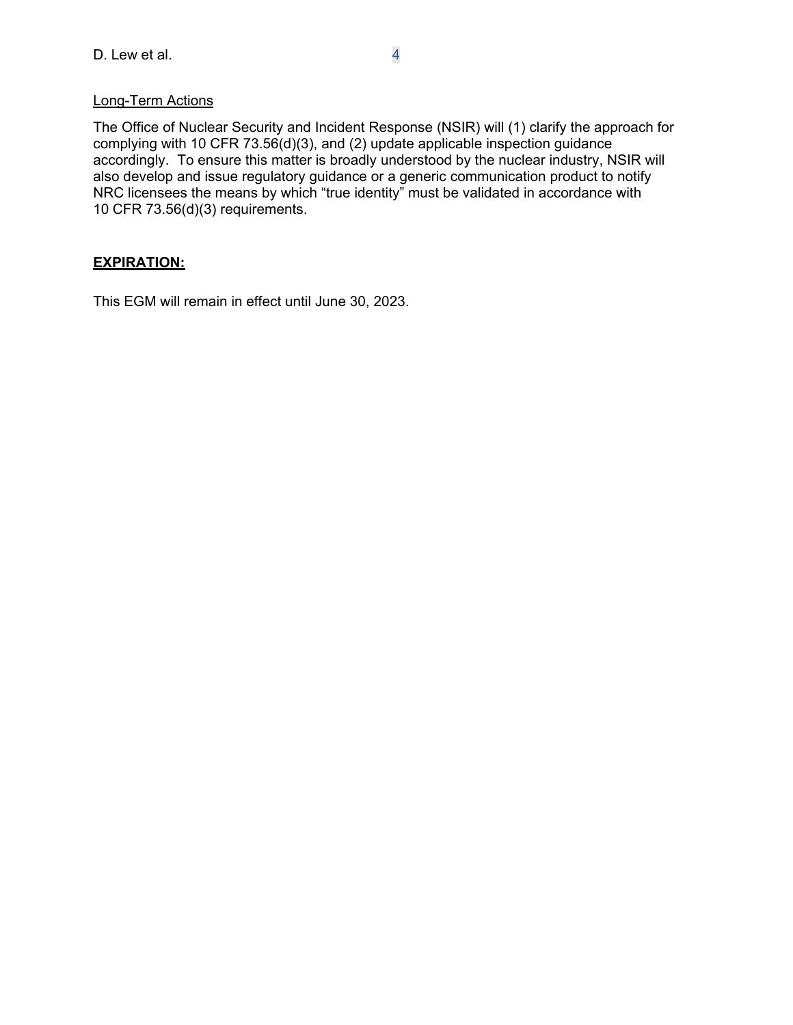# Long-Term Actions

The Office of Nuclear Security and Incident Response (NSIR) will (1) clarify the approach for complying with 10 CFR 73.56(d)(3), and (2) update applicable inspection guidance accordingly. To ensure this matter is broadly understood by the nuclear industry, NSIR will also develop and issue regulatory guidance or a generic communication product to notify NRC licensees the means by which "true identity" must be validated in accordance with 10 CFR 73.56(d)(3) requirements.

# **EXPIRATION:**

This EGM will remain in effect until June 30, 2023.